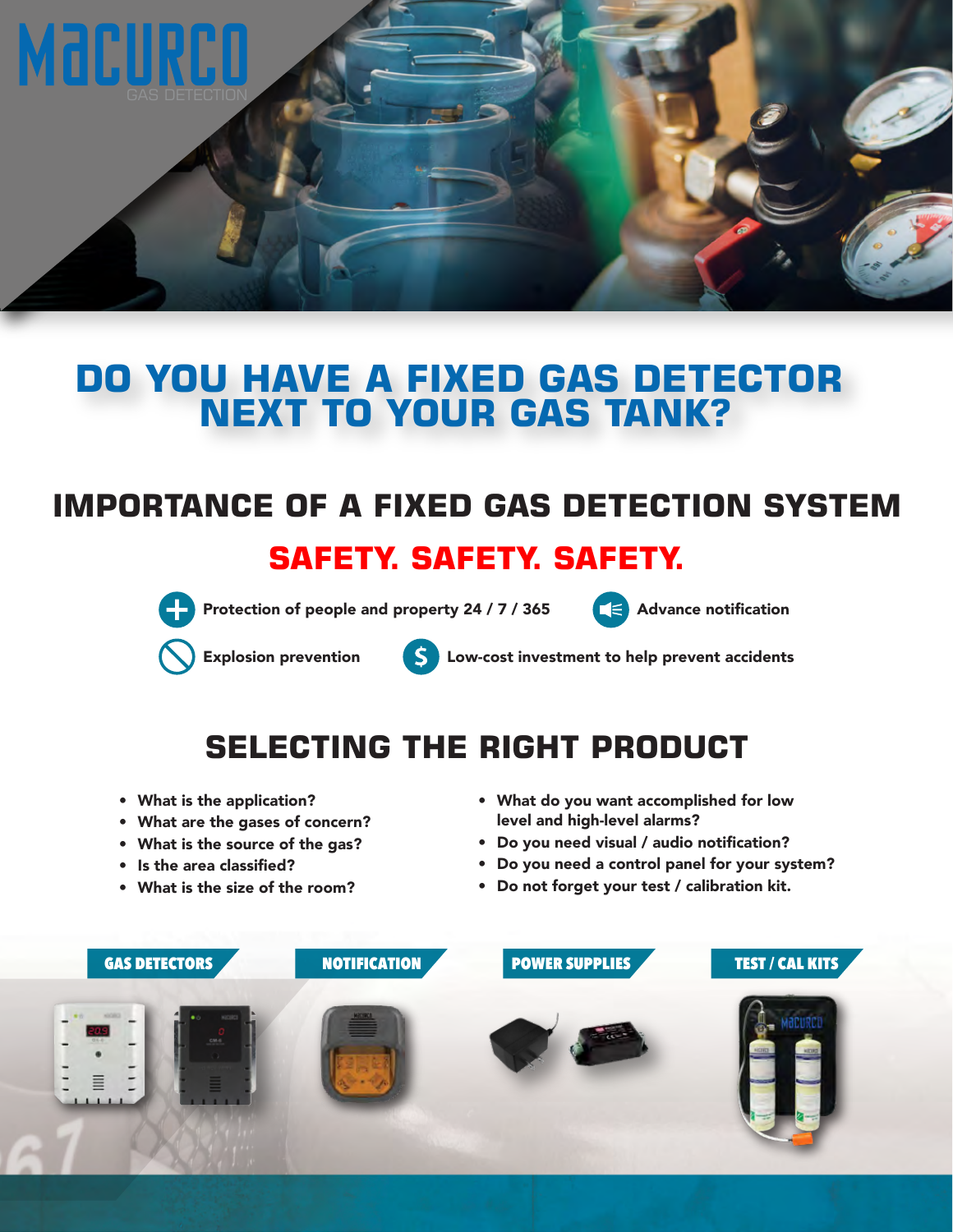

### **DO YOU HAVE A FIXED GAS DETECTOR NEXT TO YOUR GAS TANK?**

# **IMPORTANCE OF A FIXED GAS DETECTION SYSTEM**

#### **SAFETY. SAFETY. SAFETY.**



Protection of people and property 24 / 7 / 365  $\leq$  Advance notification



Explosion prevention  $\overline{\mathbf{S}}$  Low-cost investment to help prevent accidents

## **SELECTING THE RIGHT PRODUCT**

- What is the application?
- What are the gases of concern?
- What is the source of the gas?
- Is the area classified?
- What is the size of the room?
- What do you want accomplished for low level and high-level alarms?
- Do you need visual / audio notification?
- Do you need a control panel for your system?
- Do not forget your test / calibration kit.